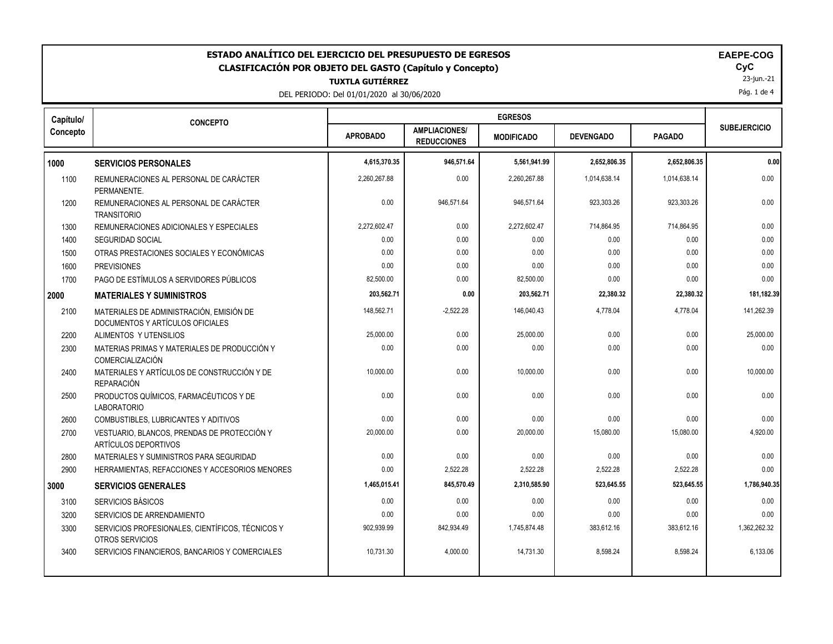| ESTADO ANALÍTICO DEL EJERCICIO DEL PRESUPUESTO DE EGRESOS<br><b>EAEPE-COG</b><br>CyC<br><b>CLASIFICACIÓN POR OBJETO DEL GASTO (Capítulo y Concepto)</b><br>23-jun.-21<br><b>TUXTLA GUTIÉRREZ</b><br>Pág. 1 de 4<br>DEL PERIODO: Del 01/01/2020 al 30/06/2020 |                                                                              |                 |                                            |                   |                  |               |                     |
|--------------------------------------------------------------------------------------------------------------------------------------------------------------------------------------------------------------------------------------------------------------|------------------------------------------------------------------------------|-----------------|--------------------------------------------|-------------------|------------------|---------------|---------------------|
| Capítulo/                                                                                                                                                                                                                                                    | <b>CONCEPTO</b>                                                              |                 |                                            | <b>EGRESOS</b>    |                  |               |                     |
| Concepto                                                                                                                                                                                                                                                     |                                                                              | <b>APROBADO</b> | <b>AMPLIACIONES/</b><br><b>REDUCCIONES</b> | <b>MODIFICADO</b> | <b>DEVENGADO</b> | <b>PAGADO</b> | <b>SUBEJERCICIO</b> |
| 1000                                                                                                                                                                                                                                                         | <b>SERVICIOS PERSONALES</b>                                                  | 4,615,370.35    | 946,571.64                                 | 5,561,941.99      | 2,652,806.35     | 2,652,806.35  | 0.00                |
| 1100                                                                                                                                                                                                                                                         | REMUNERACIONES AL PERSONAL DE CARÁCTER<br>PERMANENTE.                        | 2,260,267.88    | 0.00                                       | 2,260,267.88      | 1,014,638.14     | 1,014,638.14  | 0.00                |
| 1200                                                                                                                                                                                                                                                         | REMUNERACIONES AL PERSONAL DE CARÁCTER<br><b>TRANSITORIO</b>                 | 0.00            | 946,571.64                                 | 946,571.64        | 923,303.26       | 923,303.26    | 0.00                |
| 1300                                                                                                                                                                                                                                                         | REMUNERACIONES ADICIONALES Y ESPECIALES                                      | 2,272,602.47    | 0.00                                       | 2,272,602.47      | 714,864.95       | 714,864.95    | 0.00                |
| 1400                                                                                                                                                                                                                                                         | <b>SEGURIDAD SOCIAL</b>                                                      | 0.00            | 0.00                                       | 0.00              | 0.00             | 0.00          | 0.00                |
| 1500                                                                                                                                                                                                                                                         | OTRAS PRESTACIONES SOCIALES Y ECONÓMICAS                                     | 0.00            | 0.00                                       | 0.00              | 0.00             | 0.00          | 0.00                |
| 1600                                                                                                                                                                                                                                                         | <b>PREVISIONES</b>                                                           | 0.00            | 0.00                                       | 0.00              | 0.00             | 0.00          | 0.00                |
| 1700                                                                                                                                                                                                                                                         | PAGO DE ESTÍMULOS A SERVIDORES PÚBLICOS                                      | 82,500.00       | 0.00                                       | 82,500.00         | 0.00             | 0.00          | 0.00                |
| 2000                                                                                                                                                                                                                                                         | <b>MATERIALES Y SUMINISTROS</b>                                              | 203,562.71      | 0.00                                       | 203,562.71        | 22,380.32        | 22,380.32     | 181,182.39          |
| 2100                                                                                                                                                                                                                                                         | MATERIALES DE ADMINISTRACIÓN. EMISIÓN DE<br>DOCUMENTOS Y ARTÍCULOS OFICIALES | 148.562.71      | $-2.522.28$                                | 146.040.43        | 4.778.04         | 4.778.04      | 141.262.39          |
| 2200                                                                                                                                                                                                                                                         | ALIMENTOS Y UTENSILIOS                                                       | 25,000.00       | 0.00                                       | 25,000.00         | 0.00             | 0.00          | 25,000.00           |
| 2300                                                                                                                                                                                                                                                         | MATERIAS PRIMAS Y MATERIALES DE PRODUCCIÓN Y<br><b>COMERCIALIZACIÓN</b>      | 0.00            | 0.00                                       | 0.00              | 0.00             | 0.00          | 0.00                |
| 2400                                                                                                                                                                                                                                                         | MATERIALES Y ARTÍCULOS DE CONSTRUCCIÓN Y DE<br><b>REPARACIÓN</b>             | 10,000.00       | 0.00                                       | 10,000.00         | 0.00             | 0.00          | 10,000.00           |
| 2500                                                                                                                                                                                                                                                         | PRODUCTOS QUÍMICOS, FARMACÉUTICOS Y DE<br><b>LABORATORIO</b>                 | 0.00            | 0.00                                       | 0.00              | 0.00             | 0.00          | 0.00                |
| 2600                                                                                                                                                                                                                                                         | COMBUSTIBLES, LUBRICANTES Y ADITIVOS                                         | 0.00            | 0.00                                       | 0.00              | 0.00             | 0.00          | 0.00                |
| 2700                                                                                                                                                                                                                                                         | VESTUARIO, BLANCOS, PRENDAS DE PROTECCIÓN Y<br>ARTÍCULOS DEPORTIVOS          | 20,000.00       | 0.00                                       | 20,000.00         | 15,080.00        | 15,080.00     | 4,920.00            |
| 2800                                                                                                                                                                                                                                                         | MATERIALES Y SUMINISTROS PARA SEGURIDAD                                      | 0.00            | 0.00                                       | 0.00              | 0.00             | 0.00          | 0.00                |
| 2900                                                                                                                                                                                                                                                         | HERRAMIENTAS, REFACCIONES Y ACCESORIOS MENORES                               | 0.00            | 2,522.28                                   | 2,522.28          | 2,522.28         | 2,522.28      | 0.00                |
| 3000                                                                                                                                                                                                                                                         | <b>SERVICIOS GENERALES</b>                                                   | 1,465,015.41    | 845,570.49                                 | 2,310,585.90      | 523,645.55       | 523,645.55    | 1,786,940.35        |
| 3100                                                                                                                                                                                                                                                         | <b>SERVICIOS BÁSICOS</b>                                                     | 0.00            | 0.00                                       | 0.00              | 0.00             | 0.00          | 0.00                |
| 3200                                                                                                                                                                                                                                                         | SERVICIOS DE ARRENDAMIENTO                                                   | 0.00            | 0.00                                       | 0.00              | 0.00             | 0.00          | 0.00                |
| 3300                                                                                                                                                                                                                                                         | SERVICIOS PROFESIONALES, CIENTÍFICOS, TÉCNICOS Y<br>OTROS SERVICIOS          | 902,939.99      | 842,934.49                                 | 1,745,874.48      | 383,612.16       | 383,612.16    | 1,362,262.32        |
| 3400                                                                                                                                                                                                                                                         | SERVICIOS FINANCIEROS, BANCARIOS Y COMERCIALES                               | 10,731.30       | 4,000.00                                   | 14,731.30         | 8,598.24         | 8,598.24      | 6,133.06            |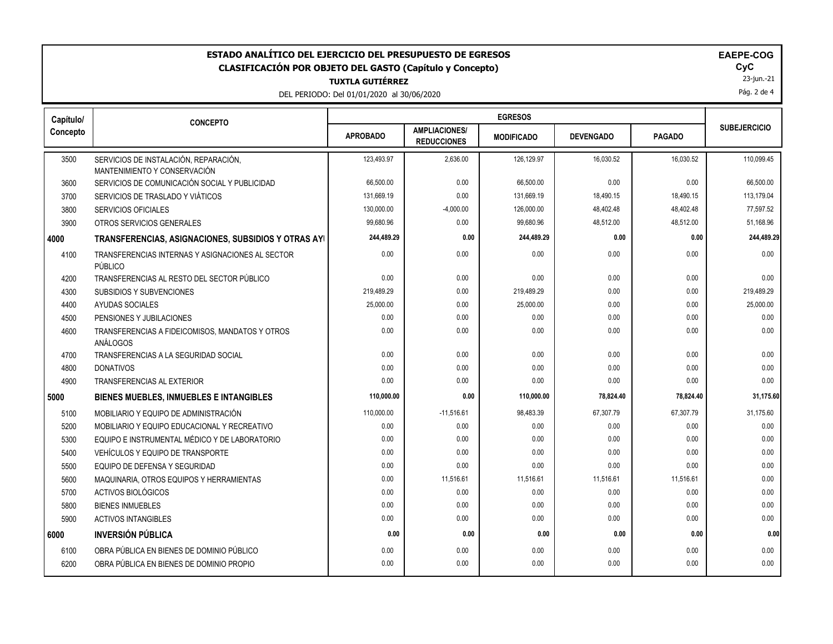| ESTADO ANALÍTICO DEL EJERCICIO DEL PRESUPUESTO DE EGRESOS<br><b>EAEPE-COG</b><br>CyC<br><b>CLASIFICACIÓN POR OBJETO DEL GASTO (Capítulo y Concepto)</b><br>23-jun.-21<br><b>TUXTLA GUTIÉRREZ</b><br>Pág. 2 de 4<br>DEL PERIODO: Del 01/01/2020 al 30/06/2020 |                                                                       |                 |                                            |                   |                  |               |                     |
|--------------------------------------------------------------------------------------------------------------------------------------------------------------------------------------------------------------------------------------------------------------|-----------------------------------------------------------------------|-----------------|--------------------------------------------|-------------------|------------------|---------------|---------------------|
| Capítulo/                                                                                                                                                                                                                                                    | <b>CONCEPTO</b>                                                       |                 |                                            | <b>EGRESOS</b>    |                  |               |                     |
| Concepto                                                                                                                                                                                                                                                     |                                                                       | <b>APROBADO</b> | <b>AMPLIACIONES/</b><br><b>REDUCCIONES</b> | <b>MODIFICADO</b> | <b>DEVENGADO</b> | <b>PAGADO</b> | <b>SUBEJERCICIO</b> |
| 3500                                                                                                                                                                                                                                                         | SERVICIOS DE INSTALACIÓN, REPARACIÓN,<br>MANTENIMIENTO Y CONSERVACIÓN | 123.493.97      | 2,636.00                                   | 126,129.97        | 16,030.52        | 16,030.52     | 110,099.45          |
| 3600                                                                                                                                                                                                                                                         | SERVICIOS DE COMUNICACIÓN SOCIAL Y PUBLICIDAD                         | 66,500.00       | 0.00                                       | 66,500.00         | 0.00             | 0.00          | 66,500.00           |
| 3700                                                                                                                                                                                                                                                         | SERVICIOS DE TRASLADO Y VIÁTICOS                                      | 131,669.19      | 0.00                                       | 131,669.19        | 18,490.15        | 18,490.15     | 113,179.04          |
| 3800                                                                                                                                                                                                                                                         | <b>SERVICIOS OFICIALES</b>                                            | 130,000.00      | $-4,000.00$                                | 126,000.00        | 48,402.48        | 48,402.48     | 77,597.52           |
| 3900                                                                                                                                                                                                                                                         | OTROS SERVICIOS GENERALES                                             | 99,680.96       | 0.00                                       | 99,680.96         | 48,512.00        | 48,512.00     | 51,168.96           |
| 4000                                                                                                                                                                                                                                                         | TRANSFERENCIAS, ASIGNACIONES, SUBSIDIOS Y OTRAS AYI                   | 244,489.29      | 0.00                                       | 244,489.29        | 0.00             | 0.00          | 244,489.29          |
| 4100                                                                                                                                                                                                                                                         | TRANSFERENCIAS INTERNAS Y ASIGNACIONES AL SECTOR<br>PÚBLICO           | 0.00            | 0.00                                       | 0.00              | 0.00             | 0.00          | 0.00                |
| 4200                                                                                                                                                                                                                                                         | TRANSFERENCIAS AL RESTO DEL SECTOR PÚBLICO                            | 0.00            | 0.00                                       | 0.00              | 0.00             | 0.00          | 0.00                |
| 4300                                                                                                                                                                                                                                                         | <b>SUBSIDIOS Y SUBVENCIONES</b>                                       | 219,489.29      | 0.00                                       | 219,489.29        | 0.00             | 0.00          | 219,489.29          |
| 4400                                                                                                                                                                                                                                                         | <b>AYUDAS SOCIALES</b>                                                | 25,000.00       | 0.00                                       | 25,000.00         | 0.00             | 0.00          | 25,000.00           |
| 4500                                                                                                                                                                                                                                                         | PENSIONES Y JUBILACIONES                                              | 0.00            | 0.00                                       | 0.00              | 0.00             | 0.00          | 0.00                |
| 4600                                                                                                                                                                                                                                                         | TRANSFERENCIAS A FIDEICOMISOS, MANDATOS Y OTROS<br>ANÁLOGOS           | 0.00            | 0.00                                       | 0.00              | 0.00             | 0.00          | 0.00                |
| 4700                                                                                                                                                                                                                                                         | TRANSFERENCIAS A LA SEGURIDAD SOCIAL                                  | 0.00            | 0.00                                       | 0.00              | 0.00             | 0.00          | 0.00                |
| 4800                                                                                                                                                                                                                                                         | <b>DONATIVOS</b>                                                      | 0.00            | 0.00                                       | 0.00              | 0.00             | 0.00          | 0.00                |
| 4900                                                                                                                                                                                                                                                         | <b>TRANSFERENCIAS AL EXTERIOR</b>                                     | 0.00            | 0.00                                       | 0.00              | 0.00             | 0.00          | 0.00                |
| 5000                                                                                                                                                                                                                                                         | BIENES MUEBLES, INMUEBLES E INTANGIBLES                               | 110,000.00      | 0.00                                       | 110,000.00        | 78,824.40        | 78,824.40     | 31,175.60           |
| 5100                                                                                                                                                                                                                                                         | MOBILIARIO Y EQUIPO DE ADMINISTRACIÓN                                 | 110,000.00      | $-11,516.61$                               | 98,483.39         | 67,307.79        | 67,307.79     | 31,175.60           |
| 5200                                                                                                                                                                                                                                                         | MOBILIARIO Y EQUIPO EDUCACIONAL Y RECREATIVO                          | 0.00            | 0.00                                       | 0.00              | 0.00             | 0.00          | 0.00                |
| 5300                                                                                                                                                                                                                                                         | EQUIPO E INSTRUMENTAL MÉDICO Y DE LABORATORIO                         | 0.00            | 0.00                                       | 0.00              | 0.00             | 0.00          | 0.00                |
| 5400                                                                                                                                                                                                                                                         | VEHÍCULOS Y EQUIPO DE TRANSPORTE                                      | 0.00            | 0.00                                       | 0.00              | 0.00             | 0.00          | 0.00                |
| 5500                                                                                                                                                                                                                                                         | EQUIPO DE DEFENSA Y SEGURIDAD                                         | 0.00            | 0.00                                       | 0.00              | 0.00             | 0.00          | 0.00                |
| 5600                                                                                                                                                                                                                                                         | MAQUINARIA. OTROS EQUIPOS Y HERRAMIENTAS                              | 0.00            | 11,516.61                                  | 11,516.61         | 11,516.61        | 11,516.61     | 0.00                |
| 5700                                                                                                                                                                                                                                                         | <b>ACTIVOS BIOLÓGICOS</b>                                             | 0.00            | 0.00                                       | 0.00              | 0.00             | 0.00          | 0.00                |
| 5800                                                                                                                                                                                                                                                         | <b>BIENES INMUEBLES</b>                                               | 0.00            | 0.00                                       | 0.00              | 0.00             | 0.00          | 0.00                |
| 5900                                                                                                                                                                                                                                                         | <b>ACTIVOS INTANGIBLES</b>                                            | 0.00            | 0.00                                       | 0.00              | 0.00             | 0.00          | 0.00                |
| 6000                                                                                                                                                                                                                                                         | <b>INVERSIÓN PÚBLICA</b>                                              | 0.00            | 0.00                                       | 0.00              | 0.00             | 0.00          | 0.00                |
| 6100                                                                                                                                                                                                                                                         | OBRA PÚBLICA EN BIENES DE DOMINIO PÚBLICO                             | 0.00            | 0.00                                       | 0.00              | 0.00             | 0.00          | 0.00                |
| 6200                                                                                                                                                                                                                                                         | OBRA PÚBLICA EN BIENES DE DOMINIO PROPIO                              | 0.00            | 0.00                                       | 0.00              | 0.00             | 0.00          | 0.00                |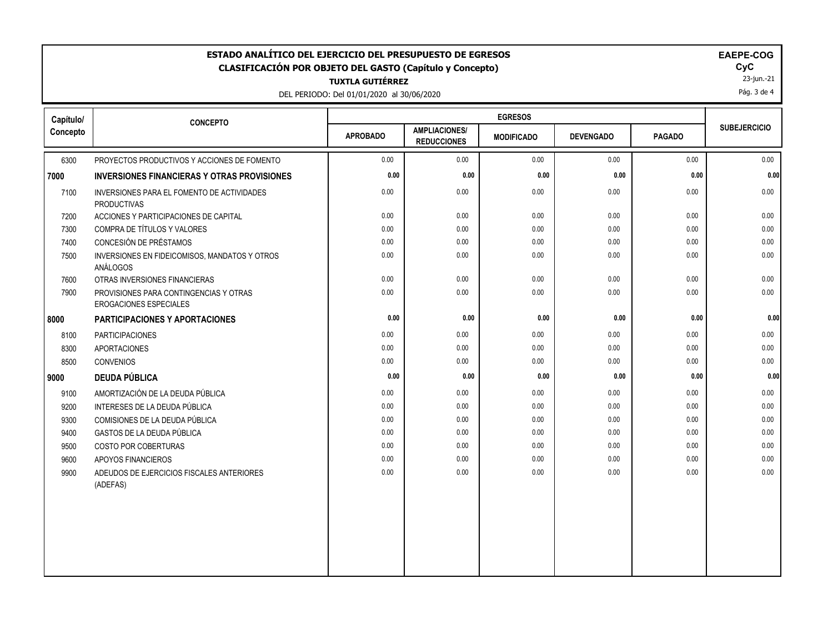| <b>EGRESOS</b><br>Capítulo/<br><b>CONCEPTO</b><br><b>SUBEJERCICIO</b><br><b>AMPLIACIONES/</b><br><b>APROBADO</b><br><b>PAGADO</b><br><b>DEVENGADO</b><br><b>MODIFICADO</b><br><b>REDUCCIONES</b><br>0.00<br>0.00<br>0.00<br>0.00<br>0.00<br>6300<br>PROYECTOS PRODUCTIVOS Y ACCIONES DE FOMENTO<br>0.00<br>0.00<br>0.00<br>0.00<br>0.00<br><b>INVERSIONES FINANCIERAS Y OTRAS PROVISIONES</b><br>0.00<br>0.00<br>0.00<br>0.00<br>0.00<br>7100<br>INVERSIONES PARA EL FOMENTO DE ACTIVIDADES<br><b>PRODUCTIVAS</b><br>0.00<br>0.00<br>0.00<br>0.00<br>0.00<br>0.00<br>7200<br>ACCIONES Y PARTICIPACIONES DE CAPITAL<br>0.00<br>0.00<br>0.00<br>0.00<br>COMPRA DE TÍTULOS Y VALORES<br>0.00<br>0.00<br>7300<br>CONCESIÓN DE PRÉSTAMOS<br>0.00<br>0.00<br>7400<br>0.00<br>0.00<br>0.00<br>0.00<br>0.00<br>0.00<br>0.00<br>0.00<br>0.00<br>0.00<br>INVERSIONES EN FIDEICOMISOS, MANDATOS Y OTROS<br>7500<br>ANÁLOGOS<br>0.00<br>0.00<br>0.00<br>0.00<br>7600<br>OTRAS INVERSIONES FINANCIERAS<br>0.00<br>0.00<br>7900<br>0.00<br>0.00<br>0.00<br>0.00<br>0.00<br>PROVISIONES PARA CONTINGENCIAS Y OTRAS<br>EROGACIONES ESPECIALES<br>0.00<br>0.00<br>0.00<br>0.00<br>0.00<br><b>PARTICIPACIONES Y APORTACIONES</b><br><b>PARTICIPACIONES</b><br>0.00<br>0.00<br>0.00<br>0.00<br>0.00<br>8100<br>0.00<br>0.00<br>0.00<br>0.00<br>0.00<br>0.00<br>8300<br><b>APORTACIONES</b><br><b>CONVENIOS</b><br>0.00<br>0.00<br>0.00<br>8500<br>0.00<br>0.00<br><b>DEUDA PÚBLICA</b><br>0.00<br>0.00<br>0.00<br>0.00<br>0.00<br>9000<br>AMORTIZACIÓN DE LA DEUDA PÚBLICA<br>0.00<br>0.00<br>0.00<br>0.00<br>0.00<br>9100<br>0.00<br>0.00<br>0.00<br>9200<br>INTERESES DE LA DEUDA PÚBLICA<br>0.00<br>0.00<br>0.00<br>0.00<br>0.00<br>0.00<br>0.00<br>0.00<br>9300<br>COMISIONES DE LA DEUDA PÚBLICA<br>0.00<br>GASTOS DE LA DEUDA PÚBLICA<br>0.00<br>0.00<br>0.00<br>0.00<br>0.00<br>9400<br>0.00<br>0.00<br>0.00<br>0.00<br>0.00<br>0.00<br>0.00<br>9500<br><b>COSTO POR COBERTURAS</b><br>0.00<br>0.00<br>0.00<br>0.00<br>9600<br>APOYOS FINANCIEROS<br>0.00<br>0.00<br>0.00<br>0.00<br>0.00<br>0.00<br>0.00<br>0.00<br>ADEUDOS DE EJERCICIOS FISCALES ANTERIORES<br>9900<br>(ADEFAS) | ESTADO ANALÍTICO DEL EJERCICIO DEL PRESUPUESTO DE EGRESOS<br>EAEPE-COG<br>CyC<br><b>CLASIFICACIÓN POR OBJETO DEL GASTO (Capítulo y Concepto)</b><br>23-jun.-21<br><b>TUXTLA GUTIÉRREZ</b><br>Pág. 3 de 4<br>DEL PERIODO: Del 01/01/2020 al 30/06/2020 |  |  |  |  |  |  |          |
|------------------------------------------------------------------------------------------------------------------------------------------------------------------------------------------------------------------------------------------------------------------------------------------------------------------------------------------------------------------------------------------------------------------------------------------------------------------------------------------------------------------------------------------------------------------------------------------------------------------------------------------------------------------------------------------------------------------------------------------------------------------------------------------------------------------------------------------------------------------------------------------------------------------------------------------------------------------------------------------------------------------------------------------------------------------------------------------------------------------------------------------------------------------------------------------------------------------------------------------------------------------------------------------------------------------------------------------------------------------------------------------------------------------------------------------------------------------------------------------------------------------------------------------------------------------------------------------------------------------------------------------------------------------------------------------------------------------------------------------------------------------------------------------------------------------------------------------------------------------------------------------------------------------------------------------------------------------------------------------------------------------------------------------------------------------------------------------------------------------------------------------------------------------------|-------------------------------------------------------------------------------------------------------------------------------------------------------------------------------------------------------------------------------------------------------|--|--|--|--|--|--|----------|
|                                                                                                                                                                                                                                                                                                                                                                                                                                                                                                                                                                                                                                                                                                                                                                                                                                                                                                                                                                                                                                                                                                                                                                                                                                                                                                                                                                                                                                                                                                                                                                                                                                                                                                                                                                                                                                                                                                                                                                                                                                                                                                                                                                        |                                                                                                                                                                                                                                                       |  |  |  |  |  |  |          |
|                                                                                                                                                                                                                                                                                                                                                                                                                                                                                                                                                                                                                                                                                                                                                                                                                                                                                                                                                                                                                                                                                                                                                                                                                                                                                                                                                                                                                                                                                                                                                                                                                                                                                                                                                                                                                                                                                                                                                                                                                                                                                                                                                                        | Concepto                                                                                                                                                                                                                                              |  |  |  |  |  |  |          |
|                                                                                                                                                                                                                                                                                                                                                                                                                                                                                                                                                                                                                                                                                                                                                                                                                                                                                                                                                                                                                                                                                                                                                                                                                                                                                                                                                                                                                                                                                                                                                                                                                                                                                                                                                                                                                                                                                                                                                                                                                                                                                                                                                                        |                                                                                                                                                                                                                                                       |  |  |  |  |  |  | 0.00     |
|                                                                                                                                                                                                                                                                                                                                                                                                                                                                                                                                                                                                                                                                                                                                                                                                                                                                                                                                                                                                                                                                                                                                                                                                                                                                                                                                                                                                                                                                                                                                                                                                                                                                                                                                                                                                                                                                                                                                                                                                                                                                                                                                                                        | 7000                                                                                                                                                                                                                                                  |  |  |  |  |  |  | 0.00     |
|                                                                                                                                                                                                                                                                                                                                                                                                                                                                                                                                                                                                                                                                                                                                                                                                                                                                                                                                                                                                                                                                                                                                                                                                                                                                                                                                                                                                                                                                                                                                                                                                                                                                                                                                                                                                                                                                                                                                                                                                                                                                                                                                                                        |                                                                                                                                                                                                                                                       |  |  |  |  |  |  | 0.00     |
|                                                                                                                                                                                                                                                                                                                                                                                                                                                                                                                                                                                                                                                                                                                                                                                                                                                                                                                                                                                                                                                                                                                                                                                                                                                                                                                                                                                                                                                                                                                                                                                                                                                                                                                                                                                                                                                                                                                                                                                                                                                                                                                                                                        |                                                                                                                                                                                                                                                       |  |  |  |  |  |  |          |
|                                                                                                                                                                                                                                                                                                                                                                                                                                                                                                                                                                                                                                                                                                                                                                                                                                                                                                                                                                                                                                                                                                                                                                                                                                                                                                                                                                                                                                                                                                                                                                                                                                                                                                                                                                                                                                                                                                                                                                                                                                                                                                                                                                        |                                                                                                                                                                                                                                                       |  |  |  |  |  |  |          |
|                                                                                                                                                                                                                                                                                                                                                                                                                                                                                                                                                                                                                                                                                                                                                                                                                                                                                                                                                                                                                                                                                                                                                                                                                                                                                                                                                                                                                                                                                                                                                                                                                                                                                                                                                                                                                                                                                                                                                                                                                                                                                                                                                                        |                                                                                                                                                                                                                                                       |  |  |  |  |  |  |          |
|                                                                                                                                                                                                                                                                                                                                                                                                                                                                                                                                                                                                                                                                                                                                                                                                                                                                                                                                                                                                                                                                                                                                                                                                                                                                                                                                                                                                                                                                                                                                                                                                                                                                                                                                                                                                                                                                                                                                                                                                                                                                                                                                                                        |                                                                                                                                                                                                                                                       |  |  |  |  |  |  |          |
|                                                                                                                                                                                                                                                                                                                                                                                                                                                                                                                                                                                                                                                                                                                                                                                                                                                                                                                                                                                                                                                                                                                                                                                                                                                                                                                                                                                                                                                                                                                                                                                                                                                                                                                                                                                                                                                                                                                                                                                                                                                                                                                                                                        |                                                                                                                                                                                                                                                       |  |  |  |  |  |  |          |
|                                                                                                                                                                                                                                                                                                                                                                                                                                                                                                                                                                                                                                                                                                                                                                                                                                                                                                                                                                                                                                                                                                                                                                                                                                                                                                                                                                                                                                                                                                                                                                                                                                                                                                                                                                                                                                                                                                                                                                                                                                                                                                                                                                        |                                                                                                                                                                                                                                                       |  |  |  |  |  |  | 0.00     |
|                                                                                                                                                                                                                                                                                                                                                                                                                                                                                                                                                                                                                                                                                                                                                                                                                                                                                                                                                                                                                                                                                                                                                                                                                                                                                                                                                                                                                                                                                                                                                                                                                                                                                                                                                                                                                                                                                                                                                                                                                                                                                                                                                                        | 8000                                                                                                                                                                                                                                                  |  |  |  |  |  |  | 0.00     |
|                                                                                                                                                                                                                                                                                                                                                                                                                                                                                                                                                                                                                                                                                                                                                                                                                                                                                                                                                                                                                                                                                                                                                                                                                                                                                                                                                                                                                                                                                                                                                                                                                                                                                                                                                                                                                                                                                                                                                                                                                                                                                                                                                                        |                                                                                                                                                                                                                                                       |  |  |  |  |  |  | $0.00\,$ |
|                                                                                                                                                                                                                                                                                                                                                                                                                                                                                                                                                                                                                                                                                                                                                                                                                                                                                                                                                                                                                                                                                                                                                                                                                                                                                                                                                                                                                                                                                                                                                                                                                                                                                                                                                                                                                                                                                                                                                                                                                                                                                                                                                                        |                                                                                                                                                                                                                                                       |  |  |  |  |  |  |          |
|                                                                                                                                                                                                                                                                                                                                                                                                                                                                                                                                                                                                                                                                                                                                                                                                                                                                                                                                                                                                                                                                                                                                                                                                                                                                                                                                                                                                                                                                                                                                                                                                                                                                                                                                                                                                                                                                                                                                                                                                                                                                                                                                                                        |                                                                                                                                                                                                                                                       |  |  |  |  |  |  | 0.00     |
|                                                                                                                                                                                                                                                                                                                                                                                                                                                                                                                                                                                                                                                                                                                                                                                                                                                                                                                                                                                                                                                                                                                                                                                                                                                                                                                                                                                                                                                                                                                                                                                                                                                                                                                                                                                                                                                                                                                                                                                                                                                                                                                                                                        |                                                                                                                                                                                                                                                       |  |  |  |  |  |  | 0.00     |
|                                                                                                                                                                                                                                                                                                                                                                                                                                                                                                                                                                                                                                                                                                                                                                                                                                                                                                                                                                                                                                                                                                                                                                                                                                                                                                                                                                                                                                                                                                                                                                                                                                                                                                                                                                                                                                                                                                                                                                                                                                                                                                                                                                        |                                                                                                                                                                                                                                                       |  |  |  |  |  |  | 0.00     |
|                                                                                                                                                                                                                                                                                                                                                                                                                                                                                                                                                                                                                                                                                                                                                                                                                                                                                                                                                                                                                                                                                                                                                                                                                                                                                                                                                                                                                                                                                                                                                                                                                                                                                                                                                                                                                                                                                                                                                                                                                                                                                                                                                                        |                                                                                                                                                                                                                                                       |  |  |  |  |  |  |          |
|                                                                                                                                                                                                                                                                                                                                                                                                                                                                                                                                                                                                                                                                                                                                                                                                                                                                                                                                                                                                                                                                                                                                                                                                                                                                                                                                                                                                                                                                                                                                                                                                                                                                                                                                                                                                                                                                                                                                                                                                                                                                                                                                                                        |                                                                                                                                                                                                                                                       |  |  |  |  |  |  |          |
|                                                                                                                                                                                                                                                                                                                                                                                                                                                                                                                                                                                                                                                                                                                                                                                                                                                                                                                                                                                                                                                                                                                                                                                                                                                                                                                                                                                                                                                                                                                                                                                                                                                                                                                                                                                                                                                                                                                                                                                                                                                                                                                                                                        |                                                                                                                                                                                                                                                       |  |  |  |  |  |  |          |
|                                                                                                                                                                                                                                                                                                                                                                                                                                                                                                                                                                                                                                                                                                                                                                                                                                                                                                                                                                                                                                                                                                                                                                                                                                                                                                                                                                                                                                                                                                                                                                                                                                                                                                                                                                                                                                                                                                                                                                                                                                                                                                                                                                        |                                                                                                                                                                                                                                                       |  |  |  |  |  |  |          |
|                                                                                                                                                                                                                                                                                                                                                                                                                                                                                                                                                                                                                                                                                                                                                                                                                                                                                                                                                                                                                                                                                                                                                                                                                                                                                                                                                                                                                                                                                                                                                                                                                                                                                                                                                                                                                                                                                                                                                                                                                                                                                                                                                                        |                                                                                                                                                                                                                                                       |  |  |  |  |  |  |          |
|                                                                                                                                                                                                                                                                                                                                                                                                                                                                                                                                                                                                                                                                                                                                                                                                                                                                                                                                                                                                                                                                                                                                                                                                                                                                                                                                                                                                                                                                                                                                                                                                                                                                                                                                                                                                                                                                                                                                                                                                                                                                                                                                                                        |                                                                                                                                                                                                                                                       |  |  |  |  |  |  |          |